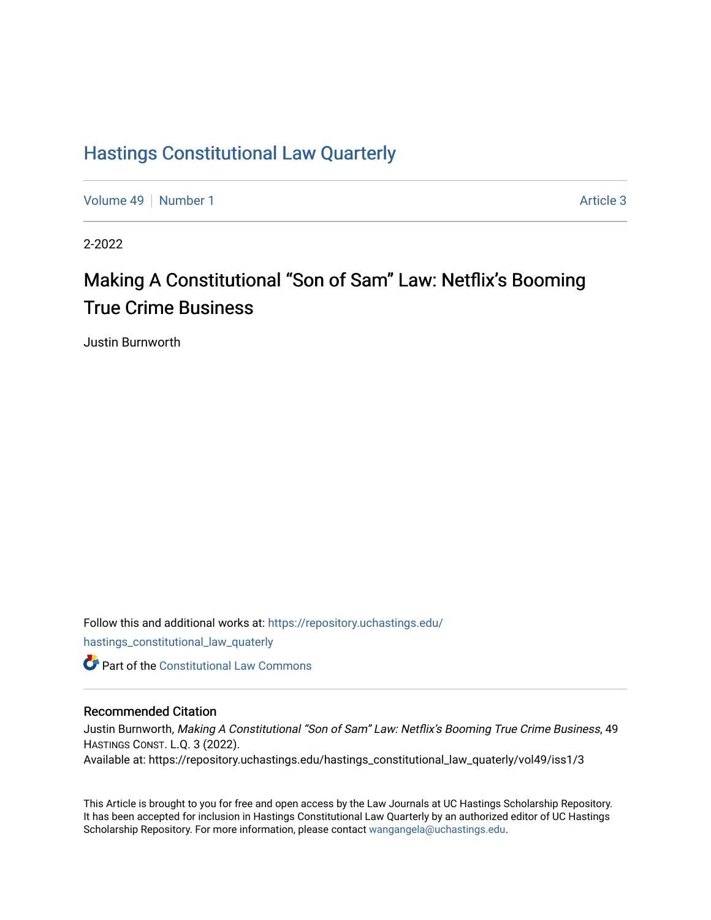## [Hastings Constitutional Law Quarterly](https://repository.uchastings.edu/hastings_constitutional_law_quaterly)

[Volume 49](https://repository.uchastings.edu/hastings_constitutional_law_quaterly/vol49) [Number 1](https://repository.uchastings.edu/hastings_constitutional_law_quaterly/vol49/iss1) Article 3

2-2022

# Making A Constitutional "Son of Sam" Law: Netflix's Booming True Crime Business

Justin Burnworth

Follow this and additional works at: [https://repository.uchastings.edu/](https://repository.uchastings.edu/hastings_constitutional_law_quaterly?utm_source=repository.uchastings.edu%2Fhastings_constitutional_law_quaterly%2Fvol49%2Fiss1%2F3&utm_medium=PDF&utm_campaign=PDFCoverPages) [hastings\\_constitutional\\_law\\_quaterly](https://repository.uchastings.edu/hastings_constitutional_law_quaterly?utm_source=repository.uchastings.edu%2Fhastings_constitutional_law_quaterly%2Fvol49%2Fiss1%2F3&utm_medium=PDF&utm_campaign=PDFCoverPages) 

**C** Part of the Constitutional Law Commons

## Recommended Citation

Justin Burnworth, Making A Constitutional "Son of Sam" Law: Netflix's Booming True Crime Business, 49 HASTINGS CONST. L.Q. 3 (2022). Available at: https://repository.uchastings.edu/hastings\_constitutional\_law\_quaterly/vol49/iss1/3

This Article is brought to you for free and open access by the Law Journals at UC Hastings Scholarship Repository. It has been accepted for inclusion in Hastings Constitutional Law Quarterly by an authorized editor of UC Hastings Scholarship Repository. For more information, please contact [wangangela@uchastings.edu.](mailto:wangangela@uchastings.edu)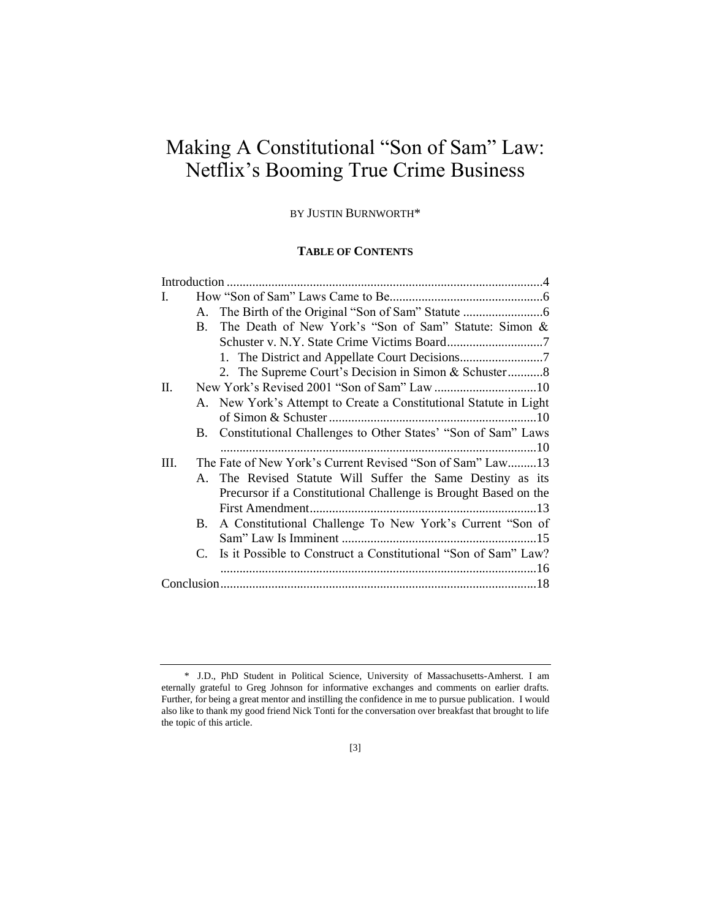## Making A Constitutional "Son of Sam" Law: Netflix's Booming True Crime Business

#### BY JUSTIN BURNWORTH\*

## **TABLE OF CONTENTS**

| L    |    |                                                                   |  |
|------|----|-------------------------------------------------------------------|--|
|      |    |                                                                   |  |
|      | B. | The Death of New York's "Son of Sam" Statute: Simon &             |  |
|      |    |                                                                   |  |
|      |    |                                                                   |  |
|      |    | 2. The Supreme Court's Decision in Simon & Schuster8              |  |
| II.  |    |                                                                   |  |
|      |    | A. New York's Attempt to Create a Constitutional Statute in Light |  |
|      |    |                                                                   |  |
|      |    | B. Constitutional Challenges to Other States' "Son of Sam" Laws   |  |
|      |    |                                                                   |  |
| III. |    | The Fate of New York's Current Revised "Son of Sam" Law13         |  |
|      |    | A. The Revised Statute Will Suffer the Same Destiny as its        |  |
|      |    | Precursor if a Constitutional Challenge is Brought Based on the   |  |
|      |    |                                                                   |  |
|      |    | B. A Constitutional Challenge To New York's Current "Son of       |  |
|      |    |                                                                   |  |
|      |    | C. Is it Possible to Construct a Constitutional "Son of Sam" Law? |  |
|      |    |                                                                   |  |
|      |    |                                                                   |  |

<sup>\*</sup> J.D., PhD Student in Political Science, University of Massachusetts-Amherst. I am eternally grateful to Greg Johnson for informative exchanges and comments on earlier drafts. Further, for being a great mentor and instilling the confidence in me to pursue publication. I would also like to thank my good friend Nick Tonti for the conversation over breakfast that brought to life the topic of this article.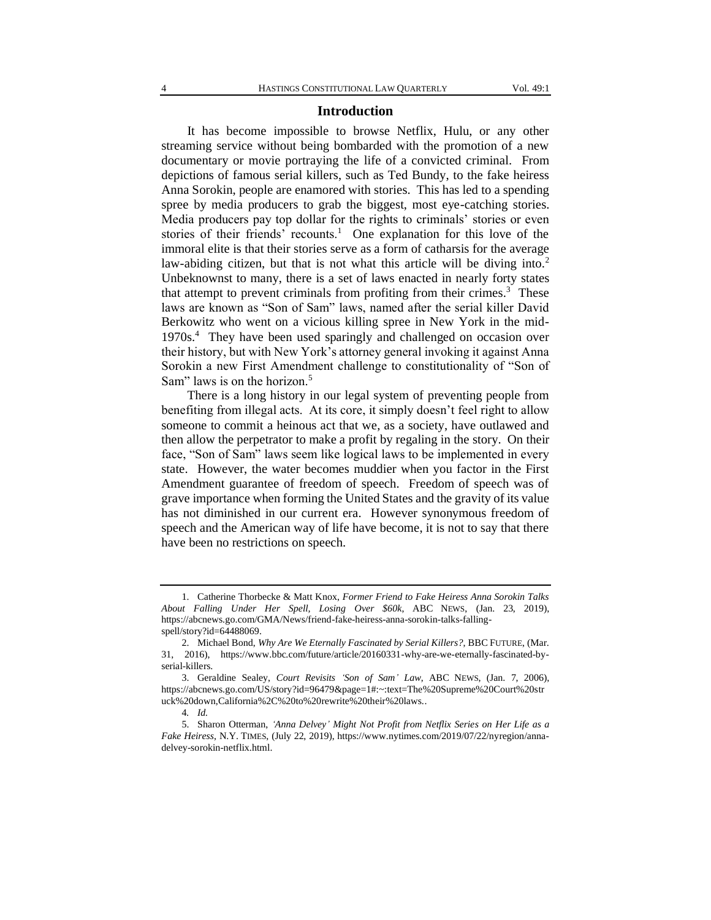#### **Introduction**

It has become impossible to browse Netflix, Hulu, or any other streaming service without being bombarded with the promotion of a new documentary or movie portraying the life of a convicted criminal. From depictions of famous serial killers, such as Ted Bundy, to the fake heiress Anna Sorokin, people are enamored with stories. This has led to a spending spree by media producers to grab the biggest, most eye-catching stories. Media producers pay top dollar for the rights to criminals' stories or even stories of their friends' recounts.<sup>1</sup> One explanation for this love of the immoral elite is that their stories serve as a form of catharsis for the average law-abiding citizen, but that is not what this article will be diving into.<sup>2</sup> Unbeknownst to many, there is a set of laws enacted in nearly forty states that attempt to prevent criminals from profiting from their crimes. $3$  These laws are known as "Son of Sam" laws, named after the serial killer David Berkowitz who went on a vicious killing spree in New York in the mid-1970s.<sup>4</sup> They have been used sparingly and challenged on occasion over their history, but with New York's attorney general invoking it against Anna Sorokin a new First Amendment challenge to constitutionality of "Son of Sam" laws is on the horizon.<sup>5</sup>

There is a long history in our legal system of preventing people from benefiting from illegal acts. At its core, it simply doesn't feel right to allow someone to commit a heinous act that we, as a society, have outlawed and then allow the perpetrator to make a profit by regaling in the story. On their face, "Son of Sam" laws seem like logical laws to be implemented in every state. However, the water becomes muddier when you factor in the First Amendment guarantee of freedom of speech. Freedom of speech was of grave importance when forming the United States and the gravity of its value has not diminished in our current era. However synonymous freedom of speech and the American way of life have become, it is not to say that there have been no restrictions on speech.

<sup>1.</sup> Catherine Thorbecke & Matt Knox, *Former Friend to Fake Heiress Anna Sorokin Talks About Falling Under Her Spell, Losing Over \$60k*, ABC NEWS, (Jan. 23, 2019), https://abcnews.go.com/GMA/News/friend-fake-heiress-anna-sorokin-talks-fallingspell/story?id=64488069.

<sup>2.</sup> Michael Bond, *Why Are We Eternally Fascinated by Serial Killers?*, BBC FUTURE, (Mar. 31, 2016), https://www.bbc.com/future/article/20160331-why-are-we-eternally-fascinated-byserial-killers.

<sup>3.</sup> Geraldine Sealey, *Court Revisits 'Son of Sam' Law*, ABC NEWS, (Jan. 7, 2006), https://abcnews.go.com/US/story?id=96479&page=1#:~:text=The%20Supreme%20Court%20str uck%20down,California%2C%20to%20rewrite%20their%20laws..

<sup>4</sup>*. Id.*

<sup>5.</sup> Sharon Otterman, *'Anna Delvey' Might Not Profit from Netflix Series on Her Life as a Fake Heiress*, N.Y. TIMES, (July 22, 2019), https://www.nytimes.com/2019/07/22/nyregion/annadelvey-sorokin-netflix.html.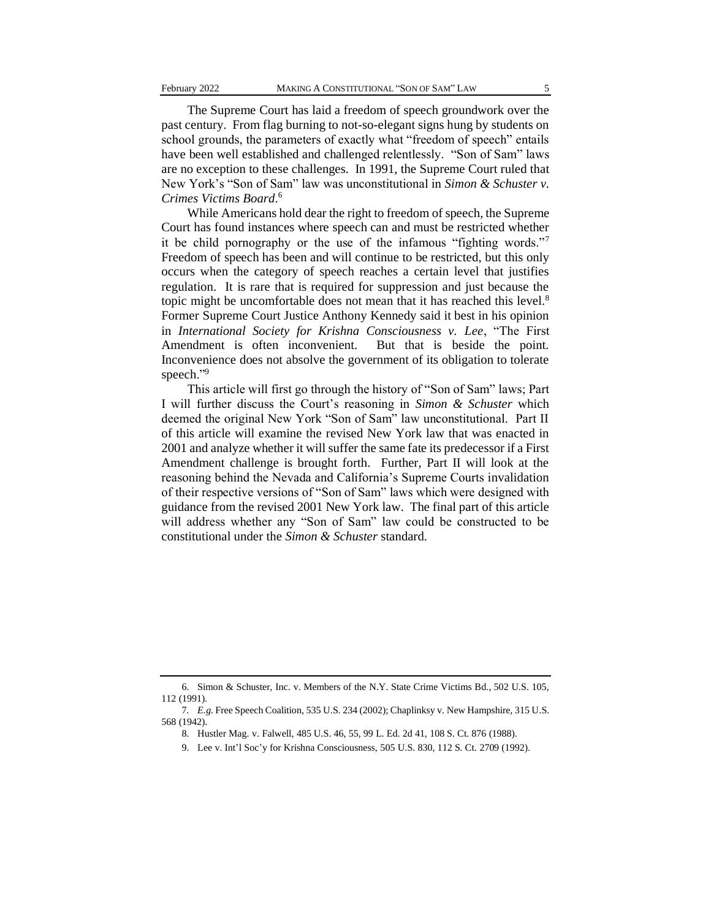The Supreme Court has laid a freedom of speech groundwork over the past century. From flag burning to not-so-elegant signs hung by students on school grounds, the parameters of exactly what "freedom of speech" entails have been well established and challenged relentlessly. "Son of Sam" laws are no exception to these challenges. In 1991, the Supreme Court ruled that New York's "Son of Sam" law was unconstitutional in *Simon & Schuster v. Crimes Victims Board*. 6

While Americans hold dear the right to freedom of speech, the Supreme Court has found instances where speech can and must be restricted whether it be child pornography or the use of the infamous "fighting words."<sup>7</sup> Freedom of speech has been and will continue to be restricted, but this only occurs when the category of speech reaches a certain level that justifies regulation. It is rare that is required for suppression and just because the topic might be uncomfortable does not mean that it has reached this level.<sup>8</sup> Former Supreme Court Justice Anthony Kennedy said it best in his opinion in *International Society for Krishna Consciousness v. Lee*, "The First Amendment is often inconvenient. But that is beside the point. Inconvenience does not absolve the government of its obligation to tolerate speech."<sup>9</sup>

This article will first go through the history of "Son of Sam" laws; Part I will further discuss the Court's reasoning in *Simon & Schuster* which deemed the original New York "Son of Sam" law unconstitutional. Part II of this article will examine the revised New York law that was enacted in 2001 and analyze whether it will suffer the same fate its predecessor if a First Amendment challenge is brought forth. Further, Part II will look at the reasoning behind the Nevada and California's Supreme Courts invalidation of their respective versions of "Son of Sam" laws which were designed with guidance from the revised 2001 New York law. The final part of this article will address whether any "Son of Sam" law could be constructed to be constitutional under the *Simon & Schuster* standard.

<sup>6.</sup> Simon & Schuster, Inc. v. Members of the N.Y. State Crime Victims Bd., 502 U.S. 105, 112 (1991).

<sup>7</sup>*. E.g.* Free Speech Coalition, 535 U.S. 234 (2002); Chaplinksy v. New Hampshire, 315 U.S. 568 (1942).

<sup>8.</sup> Hustler Mag. v. Falwell, 485 U.S. 46, 55, 99 L. Ed. 2d 41, 108 S. Ct. 876 (1988).

<sup>9.</sup> Lee v. Int'l Soc'y for Krishna Consciousness, 505 U.S. 830, 112 S. Ct. 2709 (1992).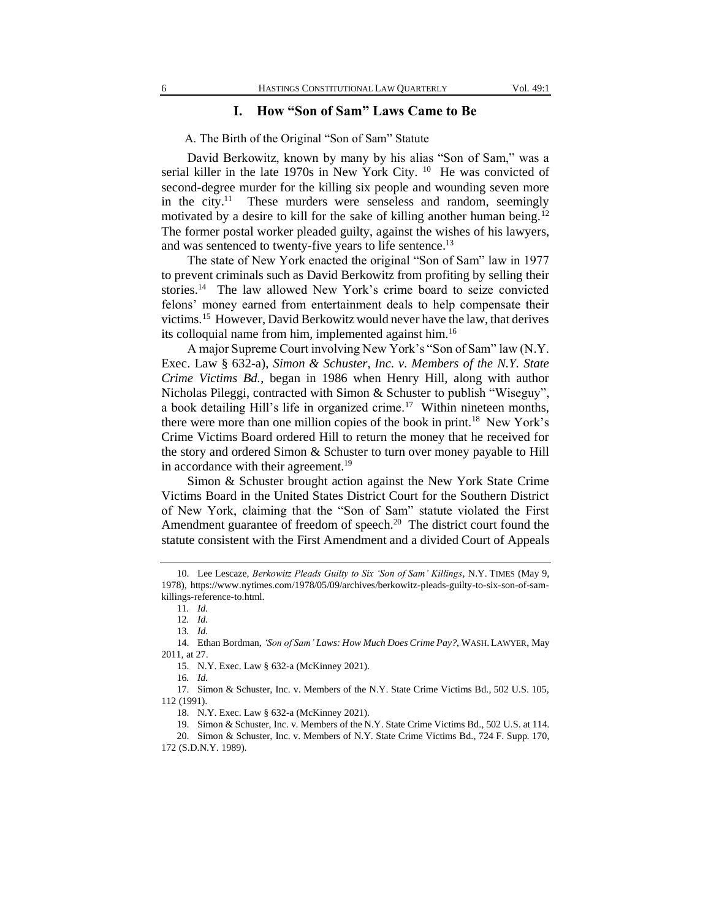## **I. How "Son of Sam" Laws Came to Be**

A. The Birth of the Original "Son of Sam" Statute

David Berkowitz, known by many by his alias "Son of Sam," was a serial killer in the late 1970s in New York City. <sup>10</sup> He was convicted of second-degree murder for the killing six people and wounding seven more in the city.<sup>11</sup> These murders were senseless and random, seemingly motivated by a desire to kill for the sake of killing another human being.<sup>12</sup> The former postal worker pleaded guilty, against the wishes of his lawyers, and was sentenced to twenty-five years to life sentence.<sup>13</sup>

The state of New York enacted the original "Son of Sam" law in 1977 to prevent criminals such as David Berkowitz from profiting by selling their stories.<sup>14</sup> The law allowed New York's crime board to seize convicted felons' money earned from entertainment deals to help compensate their victims.<sup>15</sup> However, David Berkowitz would never have the law, that derives its colloquial name from him, implemented against him.<sup>16</sup>

A major Supreme Court involving New York's "Son of Sam" law (N.Y. Exec. Law § 632-a), *Simon & Schuster, Inc. v. Members of the N.Y. State Crime Victims Bd.*, began in 1986 when Henry Hill, along with author Nicholas Pileggi, contracted with Simon & Schuster to publish "Wiseguy", a book detailing Hill's life in organized crime.<sup>17</sup> Within nineteen months, there were more than one million copies of the book in print.<sup>18</sup> New York's Crime Victims Board ordered Hill to return the money that he received for the story and ordered Simon & Schuster to turn over money payable to Hill in accordance with their agreement.<sup>19</sup>

Simon & Schuster brought action against the New York State Crime Victims Board in the United States District Court for the Southern District of New York, claiming that the "Son of Sam" statute violated the First Amendment guarantee of freedom of speech. $20$  The district court found the statute consistent with the First Amendment and a divided Court of Appeals

16*. Id.*

19. Simon & Schuster, Inc. v. Members of the N.Y. State Crime Victims Bd., 502 U.S. at 114.

<sup>10.</sup> Lee Lescaze, *Berkowitz Pleads Guilty to Six 'Son of Sam' Killings*, N.Y. TIMES (May 9, 1978), https://www.nytimes.com/1978/05/09/archives/berkowitz-pleads-guilty-to-six-son-of-samkillings-reference-to.html.

<sup>11</sup>*. Id.*

<sup>12</sup>*. Id.*

<sup>13</sup>*. Id.*

<sup>14.</sup> Ethan Bordman, *'Son of Sam' Laws: How Much Does Crime Pay?*, WASH. LAWYER, May 2011, at 27.

<sup>15.</sup> N.Y. Exec. Law § 632-a (McKinney 2021).

<sup>17.</sup> Simon & Schuster, Inc. v. Members of the N.Y. State Crime Victims Bd., 502 U.S. 105, 112 (1991).

<sup>18.</sup> N.Y. Exec. Law § 632-a (McKinney 2021).

<sup>20.</sup> Simon & Schuster, Inc. v. Members of N.Y. State Crime Victims Bd., 724 F. Supp. 170, 172 (S.D.N.Y. 1989).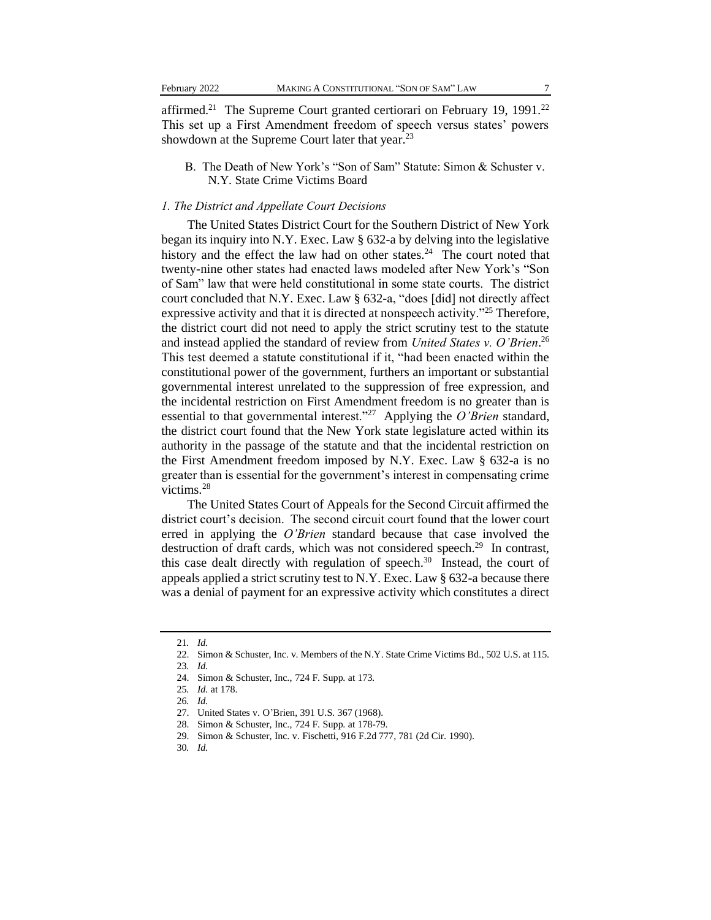affirmed.<sup>21</sup> The Supreme Court granted certiorari on February 19, 1991.<sup>22</sup> This set up a First Amendment freedom of speech versus states' powers showdown at the Supreme Court later that year.<sup>23</sup>

B. The Death of New York's "Son of Sam" Statute: Simon & Schuster v. N.Y. State Crime Victims Board

#### *1. The District and Appellate Court Decisions*

The United States District Court for the Southern District of New York began its inquiry into N.Y. Exec. Law § 632-a by delving into the legislative history and the effect the law had on other states. $24$  The court noted that twenty-nine other states had enacted laws modeled after New York's "Son of Sam" law that were held constitutional in some state courts. The district court concluded that N.Y. Exec. Law § 632-a, "does [did] not directly affect expressive activity and that it is directed at nonspeech activity."<sup>25</sup> Therefore, the district court did not need to apply the strict scrutiny test to the statute and instead applied the standard of review from *United States v. O'Brien*. 26 This test deemed a statute constitutional if it, "had been enacted within the constitutional power of the government, furthers an important or substantial governmental interest unrelated to the suppression of free expression, and the incidental restriction on First Amendment freedom is no greater than is essential to that governmental interest."<sup>27</sup> Applying the *O'Brien* standard, the district court found that the New York state legislature acted within its authority in the passage of the statute and that the incidental restriction on the First Amendment freedom imposed by N.Y. Exec. Law § 632-a is no greater than is essential for the government's interest in compensating crime victims.<sup>28</sup>

The United States Court of Appeals for the Second Circuit affirmed the district court's decision. The second circuit court found that the lower court erred in applying the *O'Brien* standard because that case involved the destruction of draft cards, which was not considered speech.<sup>29</sup> In contrast, this case dealt directly with regulation of speech.<sup>30</sup> Instead, the court of appeals applied a strict scrutiny test to N.Y. Exec. Law § 632-a because there was a denial of payment for an expressive activity which constitutes a direct

<sup>21</sup>*. Id.* 

<sup>22.</sup> Simon & Schuster, Inc. v. Members of the N.Y. State Crime Victims Bd., 502 U.S. at 115.

<sup>23</sup>*. Id.*

<sup>24.</sup> Simon & Schuster, Inc., 724 F. Supp. at 173.

<sup>25</sup>*. Id.* at 178.

<sup>26</sup>*. Id.*

<sup>27.</sup> United States v. O'Brien, 391 U.S. 367 (1968).

<sup>28.</sup> Simon & Schuster, Inc.*,* 724 F. Supp. at 178-79.

<sup>29.</sup> Simon & Schuster, Inc. v. Fischetti*,* 916 F.2d 777, 781 (2d Cir. 1990).

<sup>30</sup>*. Id.*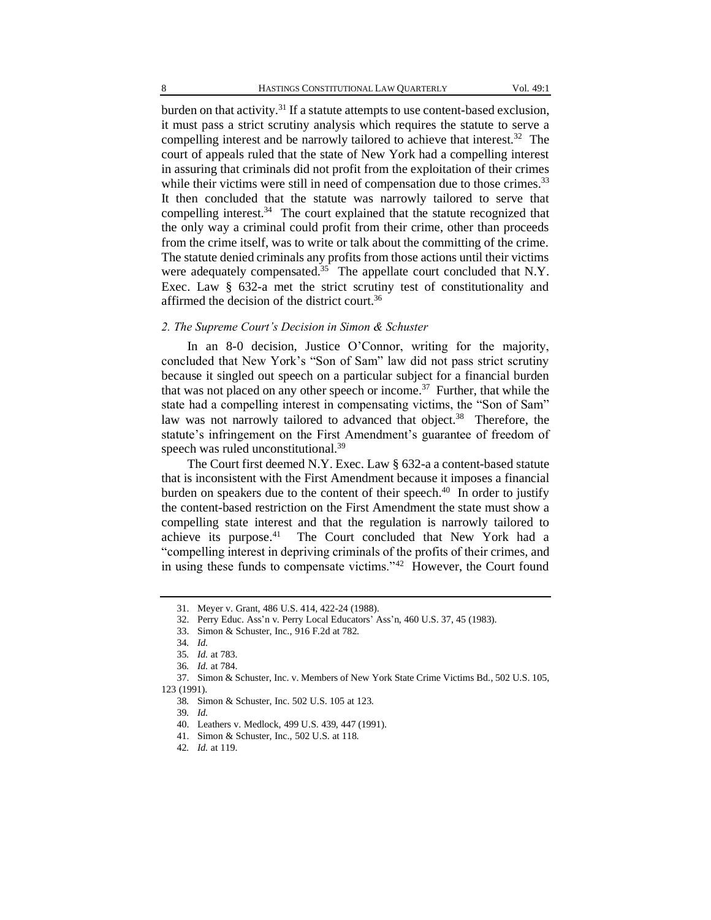burden on that activity.<sup>31</sup> If a statute attempts to use content-based exclusion, it must pass a strict scrutiny analysis which requires the statute to serve a compelling interest and be narrowly tailored to achieve that interest.<sup>32</sup> The court of appeals ruled that the state of New York had a compelling interest in assuring that criminals did not profit from the exploitation of their crimes while their victims were still in need of compensation due to those crimes.<sup>33</sup> It then concluded that the statute was narrowly tailored to serve that compelling interest.<sup>34</sup> The court explained that the statute recognized that the only way a criminal could profit from their crime, other than proceeds from the crime itself, was to write or talk about the committing of the crime. The statute denied criminals any profits from those actions until their victims were adequately compensated.<sup>35</sup> The appellate court concluded that N.Y. Exec. Law § 632-a met the strict scrutiny test of constitutionality and affirmed the decision of the district court.<sup>36</sup>

#### *2. The Supreme Court's Decision in Simon & Schuster*

In an 8-0 decision, Justice O'Connor, writing for the majority, concluded that New York's "Son of Sam" law did not pass strict scrutiny because it singled out speech on a particular subject for a financial burden that was not placed on any other speech or income.<sup>37</sup> Further, that while the state had a compelling interest in compensating victims, the "Son of Sam" law was not narrowly tailored to advanced that object.<sup>38</sup> Therefore, the statute's infringement on the First Amendment's guarantee of freedom of speech was ruled unconstitutional.<sup>39</sup>

The Court first deemed N.Y. Exec. Law § 632-a a content-based statute that is inconsistent with the First Amendment because it imposes a financial burden on speakers due to the content of their speech. $40$  In order to justify the content-based restriction on the First Amendment the state must show a compelling state interest and that the regulation is narrowly tailored to achieve its purpose.<sup>41</sup> The Court concluded that New York had a "compelling interest in depriving criminals of the profits of their crimes, and in using these funds to compensate victims."<sup>42</sup> However, the Court found

<sup>31.</sup> Meyer v. Grant, 486 U.S. 414, 422-24 (1988).

<sup>32.</sup> Perry Educ. Ass'n v. Perry Local Educators' Ass'n, 460 U.S. 37, 45 (1983).

<sup>33.</sup> Simon & Schuster, Inc.*,* 916 F.2d at 782.

<sup>34</sup>*. Id.*

<sup>35</sup>*. Id.* at 783.

<sup>36</sup>*. Id.* at 784.

<sup>37.</sup> Simon & Schuster, Inc. v. Members of New York State Crime Victims Bd., 502 U.S. 105, 123 (1991).

<sup>38</sup>*.* Simon & Schuster, Inc. 502 U.S. 105 at 123.

<sup>39</sup>*. Id.*

<sup>40.</sup> Leathers v. Medlock, 499 U.S. 439, 447 (1991).

<sup>41.</sup> Simon & Schuster, Inc., 502 U.S. at 118.

<sup>42</sup>*. Id.* at 119.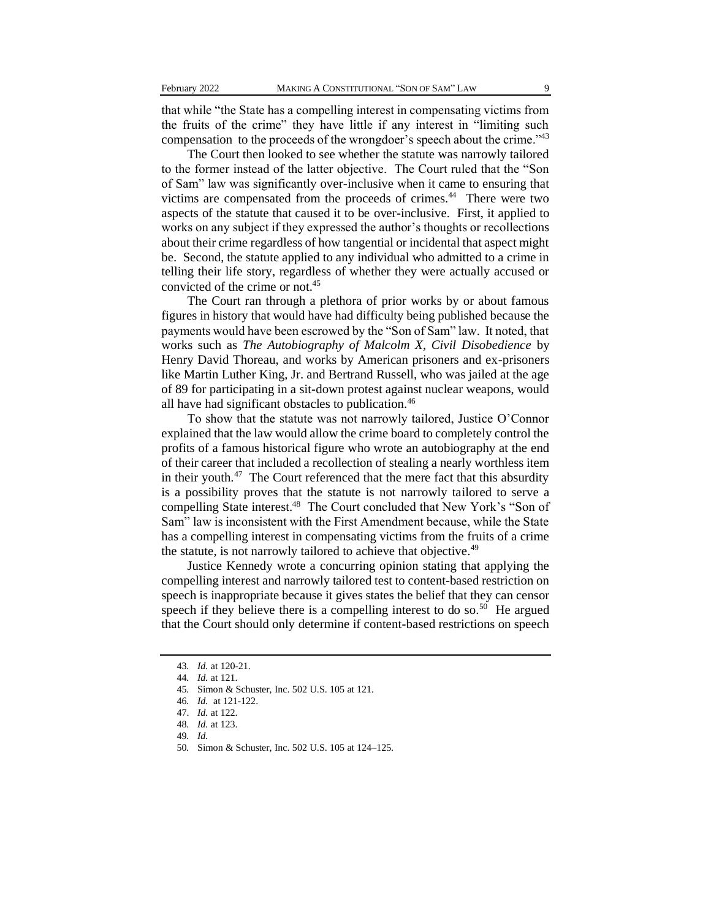that while "the State has a compelling interest in compensating victims from the fruits of the crime" they have little if any interest in "limiting such compensation to the proceeds of the wrongdoer's speech about the crime."<sup>43</sup>

The Court then looked to see whether the statute was narrowly tailored to the former instead of the latter objective. The Court ruled that the "Son of Sam" law was significantly over-inclusive when it came to ensuring that victims are compensated from the proceeds of crimes.<sup>44</sup> There were two aspects of the statute that caused it to be over-inclusive. First, it applied to works on any subject if they expressed the author's thoughts or recollections about their crime regardless of how tangential or incidental that aspect might be. Second, the statute applied to any individual who admitted to a crime in telling their life story, regardless of whether they were actually accused or convicted of the crime or not.<sup>45</sup>

The Court ran through a plethora of prior works by or about famous figures in history that would have had difficulty being published because the payments would have been escrowed by the "Son of Sam" law. It noted, that works such as *The Autobiography of Malcolm X*, *Civil Disobedience* by Henry David Thoreau, and works by American prisoners and ex-prisoners like Martin Luther King, Jr. and Bertrand Russell, who was jailed at the age of 89 for participating in a sit-down protest against nuclear weapons, would all have had significant obstacles to publication.<sup>46</sup>

To show that the statute was not narrowly tailored, Justice O'Connor explained that the law would allow the crime board to completely control the profits of a famous historical figure who wrote an autobiography at the end of their career that included a recollection of stealing a nearly worthless item in their youth. $47$  The Court referenced that the mere fact that this absurdity is a possibility proves that the statute is not narrowly tailored to serve a compelling State interest.<sup>48</sup> The Court concluded that New York's "Son of Sam" law is inconsistent with the First Amendment because, while the State has a compelling interest in compensating victims from the fruits of a crime the statute, is not narrowly tailored to achieve that objective.<sup>49</sup>

Justice Kennedy wrote a concurring opinion stating that applying the compelling interest and narrowly tailored test to content-based restriction on speech is inappropriate because it gives states the belief that they can censor speech if they believe there is a compelling interest to do so.<sup>50</sup> He argued that the Court should only determine if content-based restrictions on speech

<sup>43</sup>*. Id.* at 120-21.

<sup>44</sup>*. Id.* at 121.

<sup>45</sup>*.* Simon & Schuster, Inc. 502 U.S. 105 at 121.

<sup>46</sup>*. Id.* at 121-122.

<sup>47.</sup> *Id.* at 122.

<sup>48</sup>*. Id.* at 123.

<sup>49</sup>*. Id.*

<sup>50</sup>*.* Simon & Schuster, Inc. 502 U.S. 105 at 124–125.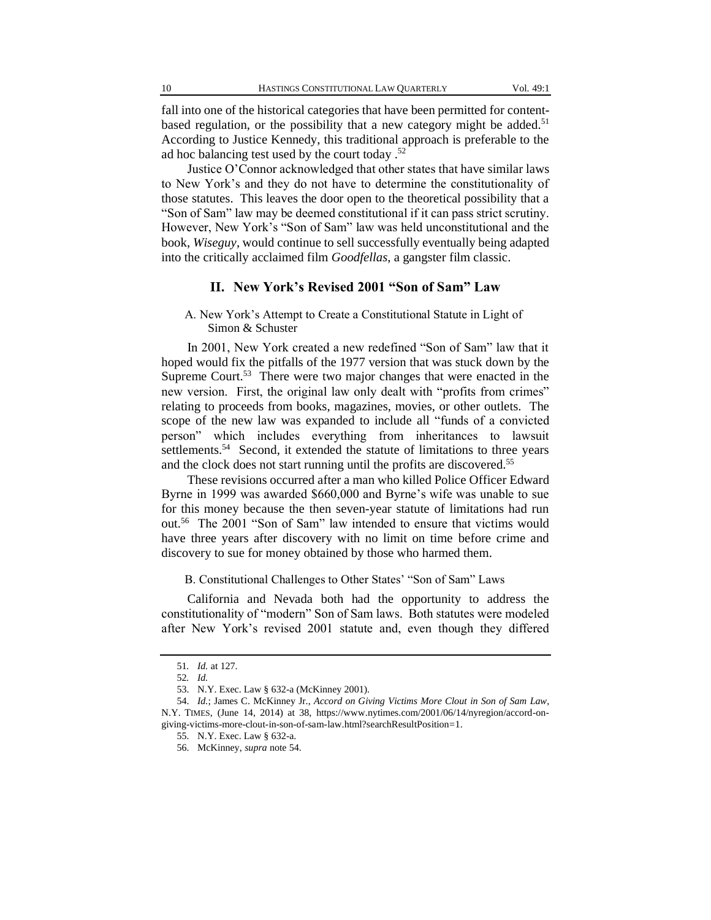fall into one of the historical categories that have been permitted for contentbased regulation, or the possibility that a new category might be added.<sup>51</sup> According to Justice Kennedy, this traditional approach is preferable to the ad hoc balancing test used by the court today .<sup>52</sup>

Justice O'Connor acknowledged that other states that have similar laws to New York's and they do not have to determine the constitutionality of those statutes. This leaves the door open to the theoretical possibility that a "Son of Sam" law may be deemed constitutional if it can pass strict scrutiny. However, New York's "Son of Sam" law was held unconstitutional and the book, *Wiseguy*, would continue to sell successfully eventually being adapted into the critically acclaimed film *Goodfellas*, a gangster film classic.

### **II. New York's Revised 2001 "Son of Sam" Law**

A. New York's Attempt to Create a Constitutional Statute in Light of Simon & Schuster

In 2001, New York created a new redefined "Son of Sam" law that it hoped would fix the pitfalls of the 1977 version that was stuck down by the Supreme Court.<sup>53</sup> There were two major changes that were enacted in the new version. First, the original law only dealt with "profits from crimes" relating to proceeds from books, magazines, movies, or other outlets. The scope of the new law was expanded to include all "funds of a convicted person" which includes everything from inheritances to lawsuit settlements.<sup>54</sup> Second, it extended the statute of limitations to three years and the clock does not start running until the profits are discovered.<sup>55</sup>

These revisions occurred after a man who killed Police Officer Edward Byrne in 1999 was awarded \$660,000 and Byrne's wife was unable to sue for this money because the then seven-year statute of limitations had run out.<sup>56</sup> The 2001 "Son of Sam" law intended to ensure that victims would have three years after discovery with no limit on time before crime and discovery to sue for money obtained by those who harmed them.

B. Constitutional Challenges to Other States' "Son of Sam" Laws

California and Nevada both had the opportunity to address the constitutionality of "modern" Son of Sam laws. Both statutes were modeled after New York's revised 2001 statute and, even though they differed

<sup>51</sup>*. Id.* at 127.

<sup>52</sup>*. Id.*

<sup>53.</sup> N.Y. Exec. Law § 632-a (McKinney 2001).

<sup>54.</sup> *Id.*; James C. McKinney Jr., *Accord on Giving Victims More Clout in Son of Sam Law*, N.Y. TIMES, (June 14, 2014) at 38, https://www.nytimes.com/2001/06/14/nyregion/accord-ongiving-victims-more-clout-in-son-of-sam-law.html?searchResultPosition=1.

<sup>55.</sup> N.Y. Exec. Law § 632-a.

<sup>56.</sup> McKinney, *supra* note 54.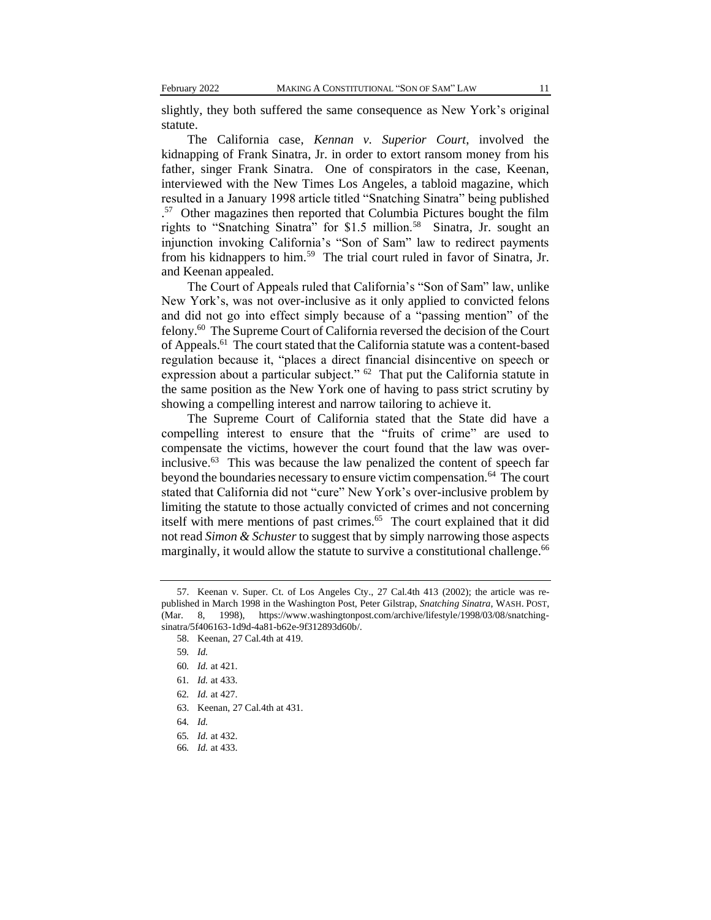slightly, they both suffered the same consequence as New York's original statute.

The California case, *Kennan v. Superior Court*, involved the kidnapping of Frank Sinatra, Jr. in order to extort ransom money from his father, singer Frank Sinatra. One of conspirators in the case, Keenan, interviewed with the New Times Los Angeles, a tabloid magazine, which resulted in a January 1998 article titled "Snatching Sinatra" being published . 57 Other magazines then reported that Columbia Pictures bought the film rights to "Snatching Sinatra" for \$1.5 million.<sup>58</sup> Sinatra, Jr. sought an injunction invoking California's "Son of Sam" law to redirect payments from his kidnappers to him.<sup>59</sup> The trial court ruled in favor of Sinatra, Jr. and Keenan appealed.

The Court of Appeals ruled that California's "Son of Sam" law, unlike New York's, was not over-inclusive as it only applied to convicted felons and did not go into effect simply because of a "passing mention" of the felony.<sup>60</sup> The Supreme Court of California reversed the decision of the Court of Appeals.<sup>61</sup> The court stated that the California statute was a content-based regulation because it, "places a direct financial disincentive on speech or expression about a particular subject." <sup>62</sup> That put the California statute in the same position as the New York one of having to pass strict scrutiny by showing a compelling interest and narrow tailoring to achieve it.

The Supreme Court of California stated that the State did have a compelling interest to ensure that the "fruits of crime" are used to compensate the victims, however the court found that the law was overinclusive. 63 This was because the law penalized the content of speech far beyond the boundaries necessary to ensure victim compensation.<sup>64</sup> The court stated that California did not "cure" New York's over-inclusive problem by limiting the statute to those actually convicted of crimes and not concerning itself with mere mentions of past crimes.<sup>65</sup> The court explained that it did not read *Simon & Schuster* to suggest that by simply narrowing those aspects marginally, it would allow the statute to survive a constitutional challenge.<sup>66</sup>

<sup>57.</sup> Keenan v. Super. Ct. of Los Angeles Cty., 27 Cal.4th 413 (2002); the article was republished in March 1998 in the Washington Post, Peter Gilstrap, *Snatching Sinatra*, WASH. POST, (Mar. 8, 1998), https://www.washingtonpost.com/archive/lifestyle/1998/03/08/snatchingsinatra/5f406163-1d9d-4a81-b62e-9f312893d60b/.

<sup>58.</sup> Keenan, 27 Cal.4th at 419.

<sup>59</sup>*. Id.*

<sup>60</sup>*. Id.* at 421.

<sup>61</sup>*. Id.* at 433.

<sup>62</sup>*. Id.* at 427.

<sup>63.</sup> Keenan, 27 Cal.4th at 431.

<sup>64</sup>*. Id.*

<sup>65</sup>*. Id.* at 432.

<sup>66</sup>*. Id.* at 433.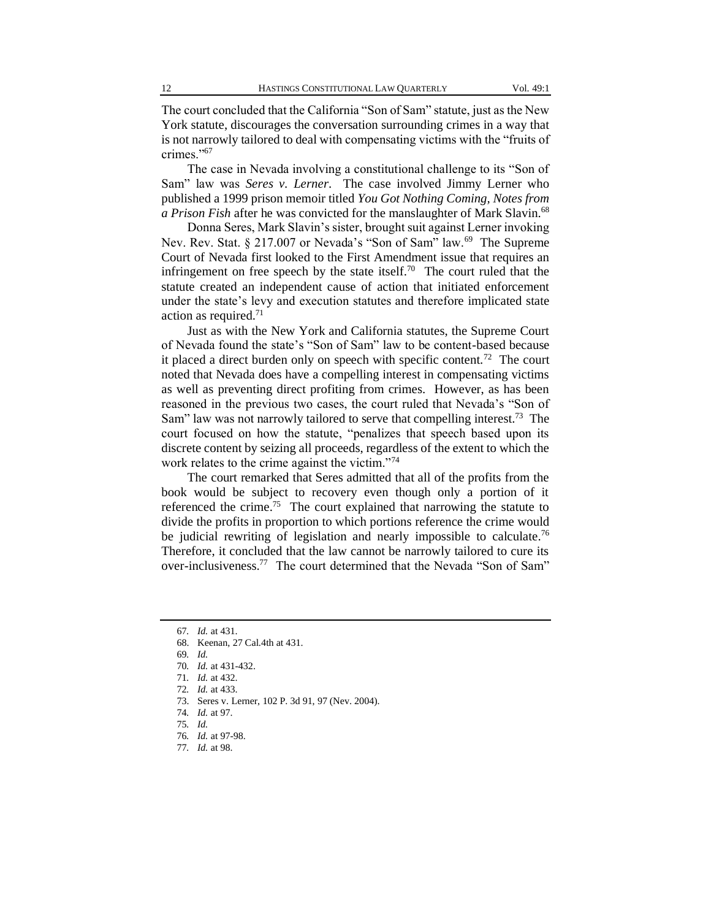The court concluded that the California "Son of Sam" statute, just as the New York statute, discourages the conversation surrounding crimes in a way that is not narrowly tailored to deal with compensating victims with the "fruits of crimes."<sup>67</sup>

The case in Nevada involving a constitutional challenge to its "Son of Sam" law was *Seres v. Lerner*. The case involved Jimmy Lerner who published a 1999 prison memoir titled *You Got Nothing Coming, Notes from a Prison Fish* after he was convicted for the manslaughter of Mark Slavin.<sup>68</sup>

Donna Seres, Mark Slavin's sister, brought suit against Lerner invoking Nev. Rev. Stat. § 217.007 or Nevada's "Son of Sam" law.<sup>69</sup> The Supreme Court of Nevada first looked to the First Amendment issue that requires an infringement on free speech by the state itself.<sup>70</sup> The court ruled that the statute created an independent cause of action that initiated enforcement under the state's levy and execution statutes and therefore implicated state action as required. $71$ 

Just as with the New York and California statutes, the Supreme Court of Nevada found the state's "Son of Sam" law to be content-based because it placed a direct burden only on speech with specific content.<sup>72</sup> The court noted that Nevada does have a compelling interest in compensating victims as well as preventing direct profiting from crimes. However, as has been reasoned in the previous two cases, the court ruled that Nevada's "Son of Sam" law was not narrowly tailored to serve that compelling interest.<sup>73</sup> The court focused on how the statute, "penalizes that speech based upon its discrete content by seizing all proceeds, regardless of the extent to which the work relates to the crime against the victim."<sup>74</sup>

The court remarked that Seres admitted that all of the profits from the book would be subject to recovery even though only a portion of it referenced the crime.<sup>75</sup> The court explained that narrowing the statute to divide the profits in proportion to which portions reference the crime would be judicial rewriting of legislation and nearly impossible to calculate.<sup>76</sup> Therefore, it concluded that the law cannot be narrowly tailored to cure its over-inclusiveness.<sup>77</sup> The court determined that the Nevada "Son of Sam"

77*. Id.* at 98.

<sup>67</sup>*. Id.* at 431.

<sup>68.</sup> Keenan, 27 Cal.4th at 431.

<sup>69</sup>*. Id.*

<sup>70</sup>*. Id.* at 431-432.

<sup>71</sup>*. Id.* at 432.

<sup>72</sup>*. Id.* at 433.

<sup>73.</sup> Seres v. Lerner, 102 P. 3d 91, 97 (Nev. 2004).

<sup>74</sup>*. Id.* at 97.

<sup>75</sup>*. Id.*

<sup>76</sup>*. Id.* at 97-98.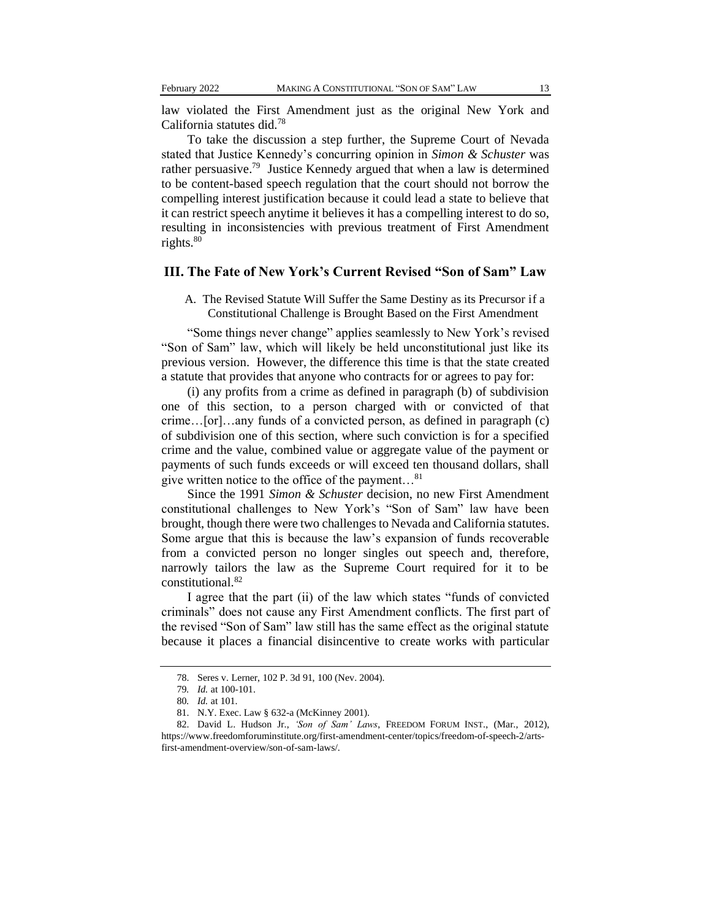law violated the First Amendment just as the original New York and California statutes did.<sup>78</sup>

To take the discussion a step further, the Supreme Court of Nevada stated that Justice Kennedy's concurring opinion in *Simon & Schuster* was rather persuasive.<sup>79</sup> Justice Kennedy argued that when a law is determined to be content-based speech regulation that the court should not borrow the compelling interest justification because it could lead a state to believe that it can restrict speech anytime it believes it has a compelling interest to do so, resulting in inconsistencies with previous treatment of First Amendment rights.<sup>80</sup>

## **III. The Fate of New York's Current Revised "Son of Sam" Law**

A. The Revised Statute Will Suffer the Same Destiny as its Precursor if a Constitutional Challenge is Brought Based on the First Amendment

"Some things never change" applies seamlessly to New York's revised "Son of Sam" law, which will likely be held unconstitutional just like its previous version. However, the difference this time is that the state created a statute that provides that anyone who contracts for or agrees to pay for:

(i) any profits from a crime as defined in paragraph (b) of subdivision one of this section, to a person charged with or convicted of that crime…[or]…any funds of a convicted person, as defined in paragraph (c) of subdivision one of this section, where such conviction is for a specified crime and the value, combined value or aggregate value of the payment or payments of such funds exceeds or will exceed ten thousand dollars, shall give written notice to the office of the payment…<sup>81</sup>

Since the 1991 *Simon & Schuster* decision, no new First Amendment constitutional challenges to New York's "Son of Sam" law have been brought, though there were two challenges to Nevada and California statutes. Some argue that this is because the law's expansion of funds recoverable from a convicted person no longer singles out speech and, therefore, narrowly tailors the law as the Supreme Court required for it to be constitutional.<sup>82</sup>

I agree that the part (ii) of the law which states "funds of convicted criminals" does not cause any First Amendment conflicts. The first part of the revised "Son of Sam" law still has the same effect as the original statute because it places a financial disincentive to create works with particular

<sup>78.</sup> Seres v. Lerner, 102 P. 3d 91, 100 (Nev. 2004).

<sup>79</sup>*. Id.* at 100-101.

<sup>80</sup>*. Id.* at 101.

<sup>81.</sup> N.Y. Exec. Law § 632-a (McKinney 2001).

<sup>82.</sup> David L. Hudson Jr., *'Son of Sam' Laws*, FREEDOM FORUM INST., (Mar., 2012), https://www.freedomforuminstitute.org/first-amendment-center/topics/freedom-of-speech-2/artsfirst-amendment-overview/son-of-sam-laws/.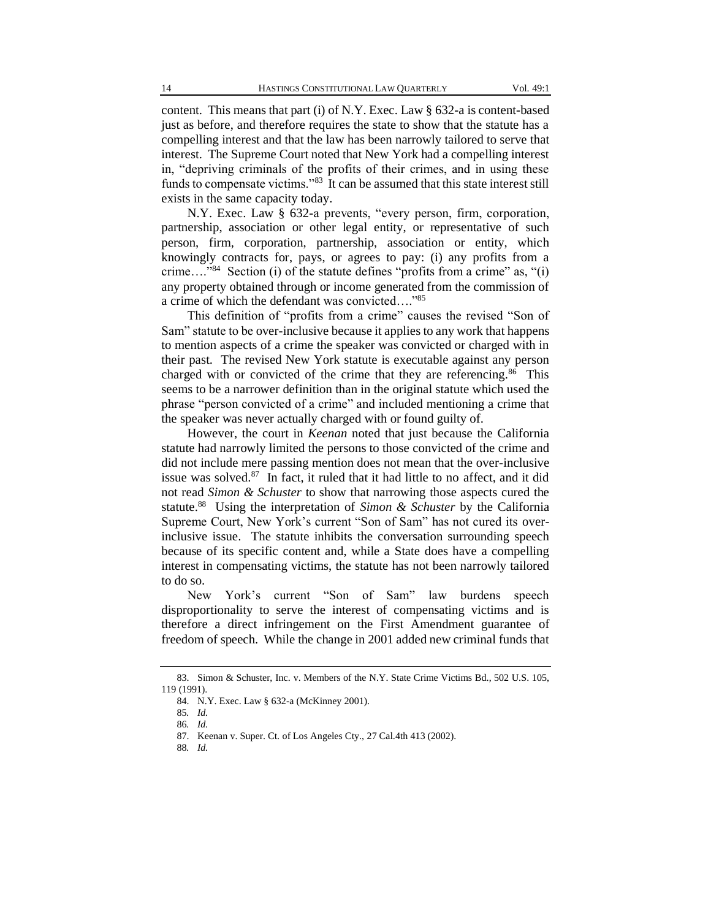content. This means that part (i) of N.Y. Exec. Law § 632-a is content-based just as before, and therefore requires the state to show that the statute has a compelling interest and that the law has been narrowly tailored to serve that interest. The Supreme Court noted that New York had a compelling interest in, "depriving criminals of the profits of their crimes, and in using these funds to compensate victims."<sup>83</sup> It can be assumed that this state interest still exists in the same capacity today.

N.Y. Exec. Law § 632-a prevents, "every person, firm, corporation, partnership, association or other legal entity, or representative of such person, firm, corporation, partnership, association or entity, which knowingly contracts for, pays, or agrees to pay: (i) any profits from a crime...."<sup>84</sup> Section (i) of the statute defines "profits from a crime" as, "(i) any property obtained through or income generated from the commission of a crime of which the defendant was convicted…."<sup>85</sup>

This definition of "profits from a crime" causes the revised "Son of Sam" statute to be over-inclusive because it applies to any work that happens to mention aspects of a crime the speaker was convicted or charged with in their past. The revised New York statute is executable against any person charged with or convicted of the crime that they are referencing.<sup>86</sup> This seems to be a narrower definition than in the original statute which used the phrase "person convicted of a crime" and included mentioning a crime that the speaker was never actually charged with or found guilty of.

However, the court in *Keenan* noted that just because the California statute had narrowly limited the persons to those convicted of the crime and did not include mere passing mention does not mean that the over-inclusive issue was solved.<sup>87</sup> In fact, it ruled that it had little to no affect, and it did not read *Simon & Schuster* to show that narrowing those aspects cured the statute.<sup>88</sup> Using the interpretation of *Simon & Schuster* by the California Supreme Court, New York's current "Son of Sam" has not cured its overinclusive issue. The statute inhibits the conversation surrounding speech because of its specific content and, while a State does have a compelling interest in compensating victims, the statute has not been narrowly tailored to do so.

New York's current "Son of Sam" law burdens speech disproportionality to serve the interest of compensating victims and is therefore a direct infringement on the First Amendment guarantee of freedom of speech. While the change in 2001 added new criminal funds that

<sup>83.</sup> Simon & Schuster, Inc. v. Members of the N.Y. State Crime Victims Bd., 502 U.S. 105, 119 (1991).

<sup>84.</sup> N.Y. Exec. Law § 632-a (McKinney 2001).

<sup>85</sup>*. Id.*

<sup>86</sup>*. Id.*

<sup>87.</sup> Keenan v. Super. Ct. of Los Angeles Cty., 27 Cal.4th 413 (2002).

<sup>88</sup>*. Id.*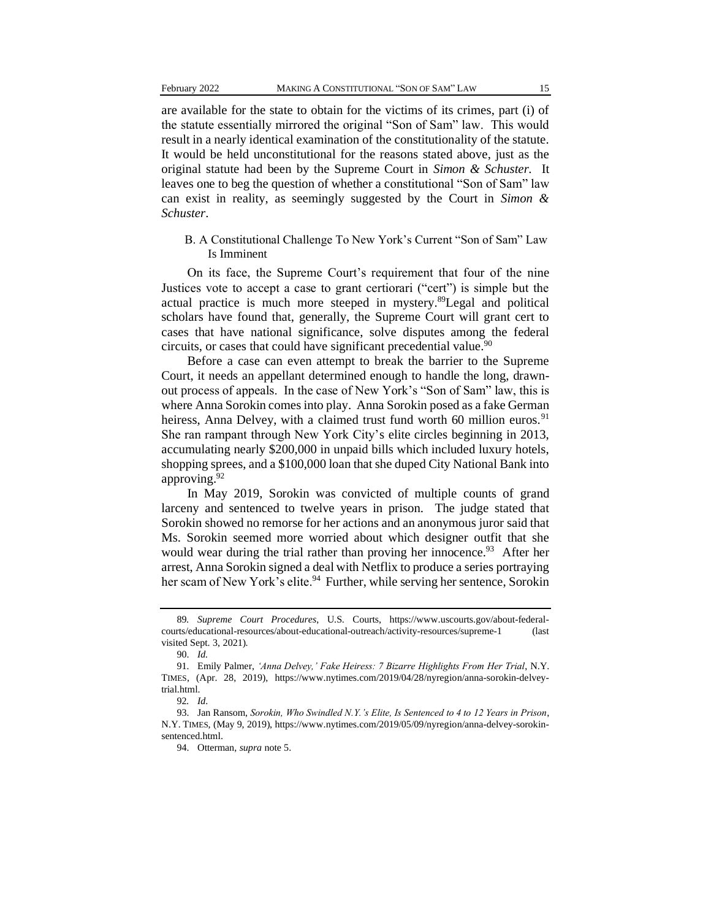are available for the state to obtain for the victims of its crimes, part (i) of the statute essentially mirrored the original "Son of Sam" law. This would result in a nearly identical examination of the constitutionality of the statute. It would be held unconstitutional for the reasons stated above, just as the original statute had been by the Supreme Court in *Simon & Schuster.* It leaves one to beg the question of whether a constitutional "Son of Sam" law can exist in reality, as seemingly suggested by the Court in *Simon & Schuster*.

#### B. A Constitutional Challenge To New York's Current "Son of Sam" Law Is Imminent

On its face, the Supreme Court's requirement that four of the nine Justices vote to accept a case to grant certiorari ("cert") is simple but the actual practice is much more steeped in mystery.<sup>89</sup>Legal and political scholars have found that, generally, the Supreme Court will grant cert to cases that have national significance, solve disputes among the federal circuits, or cases that could have significant precedential value.<sup>90</sup>

Before a case can even attempt to break the barrier to the Supreme Court, it needs an appellant determined enough to handle the long, drawnout process of appeals. In the case of New York's "Son of Sam" law, this is where Anna Sorokin comes into play. Anna Sorokin posed as a fake German heiress, Anna Delvey, with a claimed trust fund worth 60 million euros.<sup>91</sup> She ran rampant through New York City's elite circles beginning in 2013, accumulating nearly \$200,000 in unpaid bills which included luxury hotels, shopping sprees, and a \$100,000 loan that she duped City National Bank into approving.<sup>92</sup>

In May 2019, Sorokin was convicted of multiple counts of grand larceny and sentenced to twelve years in prison. The judge stated that Sorokin showed no remorse for her actions and an anonymous juror said that Ms. Sorokin seemed more worried about which designer outfit that she would wear during the trial rather than proving her innocence.<sup>93</sup> After her arrest, Anna Sorokin signed a deal with Netflix to produce a series portraying her scam of New York's elite.<sup>94</sup> Further, while serving her sentence, Sorokin

<sup>89</sup>*. Supreme Court Procedures*, U.S. Courts, https://www.uscourts.gov/about-federalcourts/educational-resources/about-educational-outreach/activity-resources/supreme-1 (last visited Sept. 3, 2021).

<sup>90.</sup> *Id.*

<sup>91.</sup> Emily Palmer, *'Anna Delvey,' Fake Heiress: 7 Bizarre Highlights From Her Trial*, N.Y. TIMES, (Apr. 28, 2019), https://www.nytimes.com/2019/04/28/nyregion/anna-sorokin-delveytrial.html.

<sup>92</sup>*. Id*.

<sup>93.</sup> Jan Ransom, *Sorokin, Who Swindled N.Y.'s Elite, Is Sentenced to 4 to 12 Years in Prison*, N.Y. TIMES, (May 9, 2019), https://www.nytimes.com/2019/05/09/nyregion/anna-delvey-sorokinsentenced.html.

<sup>94.</sup> Otterman, *supra* note 5.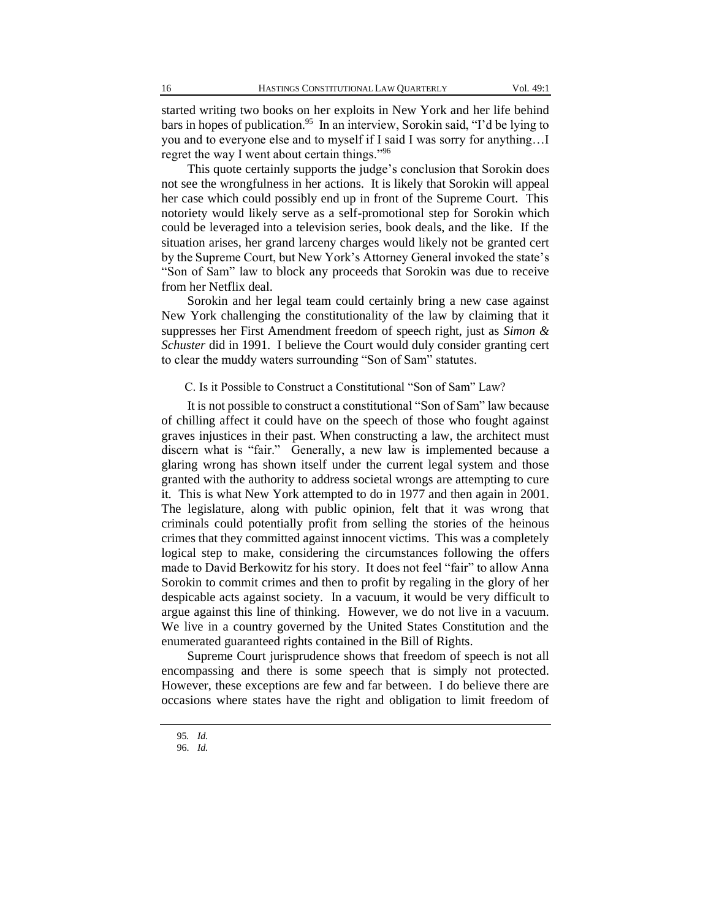started writing two books on her exploits in New York and her life behind bars in hopes of publication.<sup>95</sup> In an interview, Sorokin said, "I'd be lying to you and to everyone else and to myself if I said I was sorry for anything…I regret the way I went about certain things."<sup>96</sup>

This quote certainly supports the judge's conclusion that Sorokin does not see the wrongfulness in her actions. It is likely that Sorokin will appeal her case which could possibly end up in front of the Supreme Court. This notoriety would likely serve as a self-promotional step for Sorokin which could be leveraged into a television series, book deals, and the like. If the situation arises, her grand larceny charges would likely not be granted cert by the Supreme Court, but New York's Attorney General invoked the state's "Son of Sam" law to block any proceeds that Sorokin was due to receive from her Netflix deal.

Sorokin and her legal team could certainly bring a new case against New York challenging the constitutionality of the law by claiming that it suppresses her First Amendment freedom of speech right, just as *Simon & Schuster* did in 1991. I believe the Court would duly consider granting cert to clear the muddy waters surrounding "Son of Sam" statutes.

#### C. Is it Possible to Construct a Constitutional "Son of Sam" Law?

It is not possible to construct a constitutional "Son of Sam" law because of chilling affect it could have on the speech of those who fought against graves injustices in their past. When constructing a law, the architect must discern what is "fair." Generally, a new law is implemented because a glaring wrong has shown itself under the current legal system and those granted with the authority to address societal wrongs are attempting to cure it. This is what New York attempted to do in 1977 and then again in 2001. The legislature, along with public opinion, felt that it was wrong that criminals could potentially profit from selling the stories of the heinous crimes that they committed against innocent victims. This was a completely logical step to make, considering the circumstances following the offers made to David Berkowitz for his story. It does not feel "fair" to allow Anna Sorokin to commit crimes and then to profit by regaling in the glory of her despicable acts against society. In a vacuum, it would be very difficult to argue against this line of thinking. However, we do not live in a vacuum. We live in a country governed by the United States Constitution and the enumerated guaranteed rights contained in the Bill of Rights.

Supreme Court jurisprudence shows that freedom of speech is not all encompassing and there is some speech that is simply not protected. However, these exceptions are few and far between. I do believe there are occasions where states have the right and obligation to limit freedom of

<sup>95</sup>*. Id.*

<sup>96.</sup> *Id.*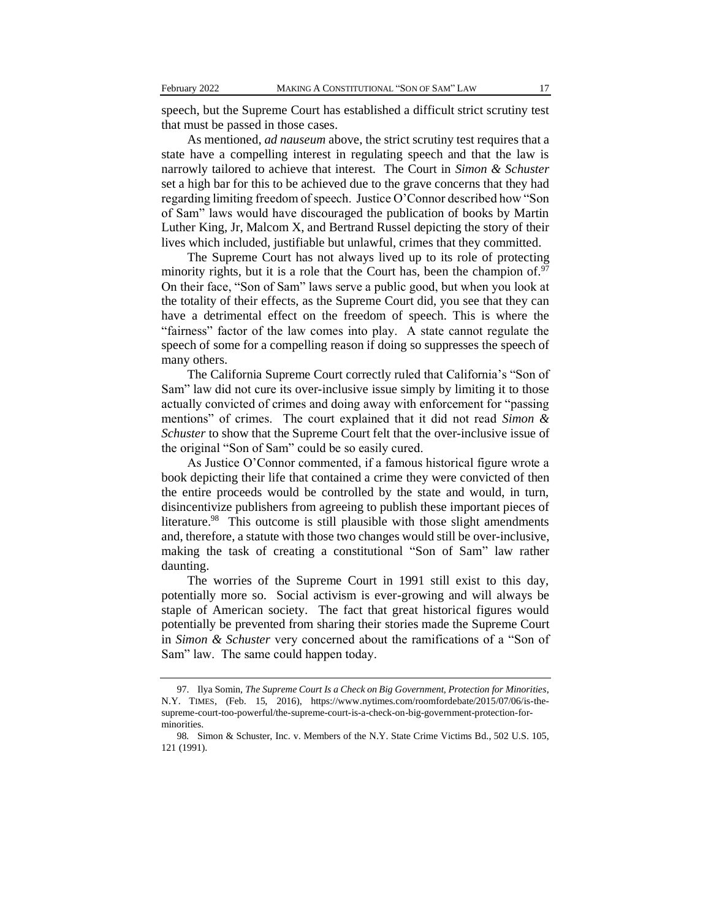speech, but the Supreme Court has established a difficult strict scrutiny test that must be passed in those cases.

As mentioned, *ad nauseum* above, the strict scrutiny test requires that a state have a compelling interest in regulating speech and that the law is narrowly tailored to achieve that interest. The Court in *Simon & Schuster* set a high bar for this to be achieved due to the grave concerns that they had regarding limiting freedom of speech. Justice O'Connor described how "Son of Sam" laws would have discouraged the publication of books by Martin Luther King, Jr, Malcom X, and Bertrand Russel depicting the story of their lives which included, justifiable but unlawful, crimes that they committed.

The Supreme Court has not always lived up to its role of protecting minority rights, but it is a role that the Court has, been the champion of. $97$ On their face, "Son of Sam" laws serve a public good, but when you look at the totality of their effects, as the Supreme Court did, you see that they can have a detrimental effect on the freedom of speech. This is where the "fairness" factor of the law comes into play. A state cannot regulate the speech of some for a compelling reason if doing so suppresses the speech of many others.

The California Supreme Court correctly ruled that California's "Son of Sam" law did not cure its over-inclusive issue simply by limiting it to those actually convicted of crimes and doing away with enforcement for "passing mentions" of crimes. The court explained that it did not read *Simon & Schuster* to show that the Supreme Court felt that the over-inclusive issue of the original "Son of Sam" could be so easily cured.

As Justice O'Connor commented, if a famous historical figure wrote a book depicting their life that contained a crime they were convicted of then the entire proceeds would be controlled by the state and would, in turn, disincentivize publishers from agreeing to publish these important pieces of literature.<sup>98</sup> This outcome is still plausible with those slight amendments and, therefore, a statute with those two changes would still be over-inclusive, making the task of creating a constitutional "Son of Sam" law rather daunting.

The worries of the Supreme Court in 1991 still exist to this day, potentially more so. Social activism is ever-growing and will always be staple of American society. The fact that great historical figures would potentially be prevented from sharing their stories made the Supreme Court in *Simon & Schuster* very concerned about the ramifications of a "Son of Sam" law. The same could happen today.

<sup>97.</sup> Ilya Somin, *The Supreme Court Is a Check on Big Government, Protection for Minorities*, N.Y. TIMES, (Feb. 15, 2016), https://www.nytimes.com/roomfordebate/2015/07/06/is-thesupreme-court-too-powerful/the-supreme-court-is-a-check-on-big-government-protection-forminorities.

<sup>98</sup>*.* Simon & Schuster, Inc. v. Members of the N.Y. State Crime Victims Bd., 502 U.S. 105, 121 (1991).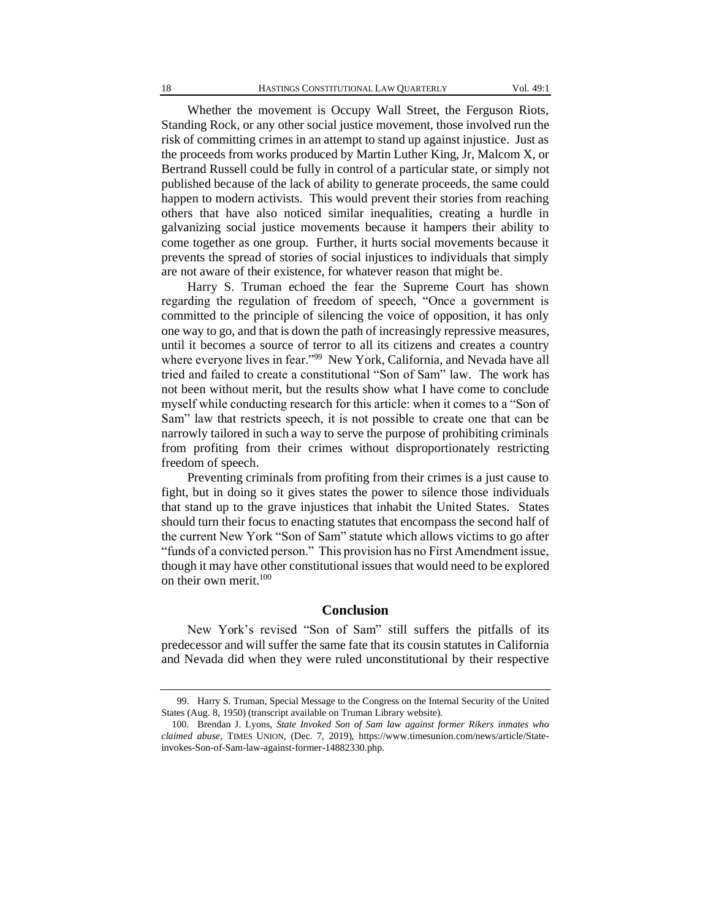Whether the movement is Occupy Wall Street, the Ferguson Riots, Standing Rock, or any other social justice movement, those involved run the risk of committing crimes in an attempt to stand up against injustice. Just as the proceeds from works produced by Martin Luther King, Jr, Malcom X, or Bertrand Russell could be fully in control of a particular state, or simply not published because of the lack of ability to generate proceeds, the same could happen to modern activists. This would prevent their stories from reaching others that have also noticed similar inequalities, creating a hurdle in galvanizing social justice movements because it hampers their ability to come together as one group. Further, it hurts social movements because it prevents the spread of stories of social injustices to individuals that simply are not aware of their existence, for whatever reason that might be.

Harry S. Truman echoed the fear the Supreme Court has shown regarding the regulation of freedom of speech, "Once a government is committed to the principle of silencing the voice of opposition, it has only one way to go, and that is down the path of increasingly repressive measures, until it becomes a source of terror to all its citizens and creates a country where everyone lives in fear."<sup>99</sup> New York, California, and Nevada have all tried and failed to create a constitutional "Son of Sam" law. The work has not been without merit, but the results show what I have come to conclude myself while conducting research for this article: when it comes to a "Son of Sam" law that restricts speech, it is not possible to create one that can be narrowly tailored in such a way to serve the purpose of prohibiting criminals from profiting from their crimes without disproportionately restricting freedom of speech.

Preventing criminals from profiting from their crimes is a just cause to fight, but in doing so it gives states the power to silence those individuals that stand up to the grave injustices that inhabit the United States. States should turn their focus to enacting statutes that encompass the second half of the current New York "Son of Sam" statute which allows victims to go after "funds of a convicted person." This provision has no First Amendment issue, though it may have other constitutional issues that would need to be explored on their own merit.<sup>100</sup>

#### **Conclusion**

New York's revised "Son of Sam" still suffers the pitfalls of its predecessor and will suffer the same fate that its cousin statutes in California and Nevada did when they were ruled unconstitutional by their respective

<sup>99.</sup> Harry S. Truman, Special Message to the Congress on the Internal Security of the United States (Aug. 8, 1950) (transcript available on Truman Library website).

<sup>100.</sup> Brendan J. Lyons, *State Invoked Son of Sam law against former Rikers inmates who claimed abuse*, TIMES UNION, (Dec. 7, 2019), https://www.timesunion.com/news/article/Stateinvokes-Son-of-Sam-law-against-former-14882330.php.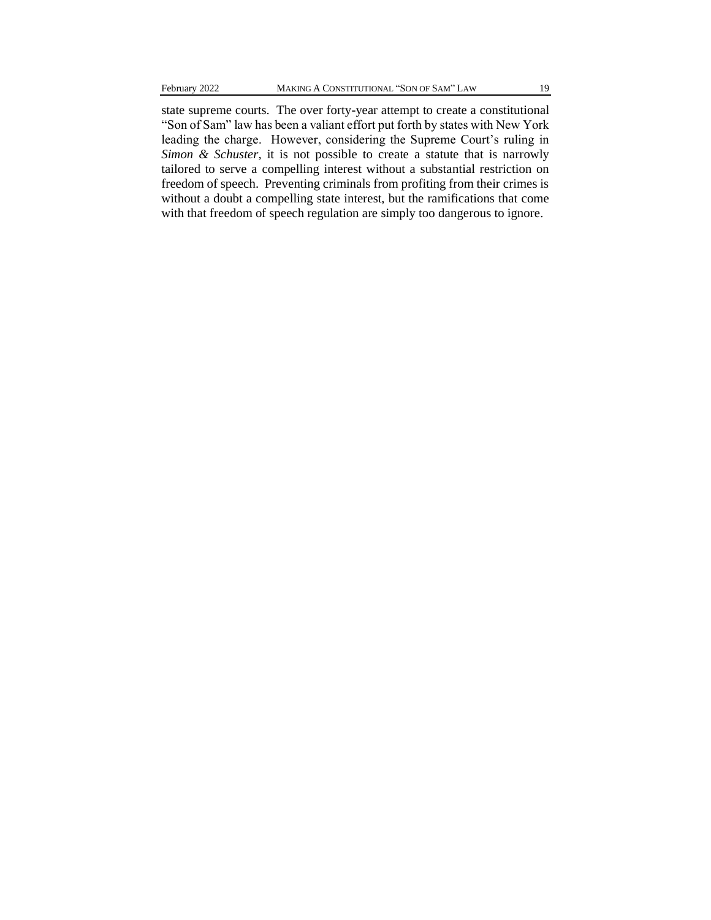state supreme courts. The over forty-year attempt to create a constitutional "Son of Sam" law has been a valiant effort put forth by states with New York leading the charge. However, considering the Supreme Court's ruling in *Simon & Schuster*, it is not possible to create a statute that is narrowly tailored to serve a compelling interest without a substantial restriction on freedom of speech. Preventing criminals from profiting from their crimes is without a doubt a compelling state interest, but the ramifications that come with that freedom of speech regulation are simply too dangerous to ignore.